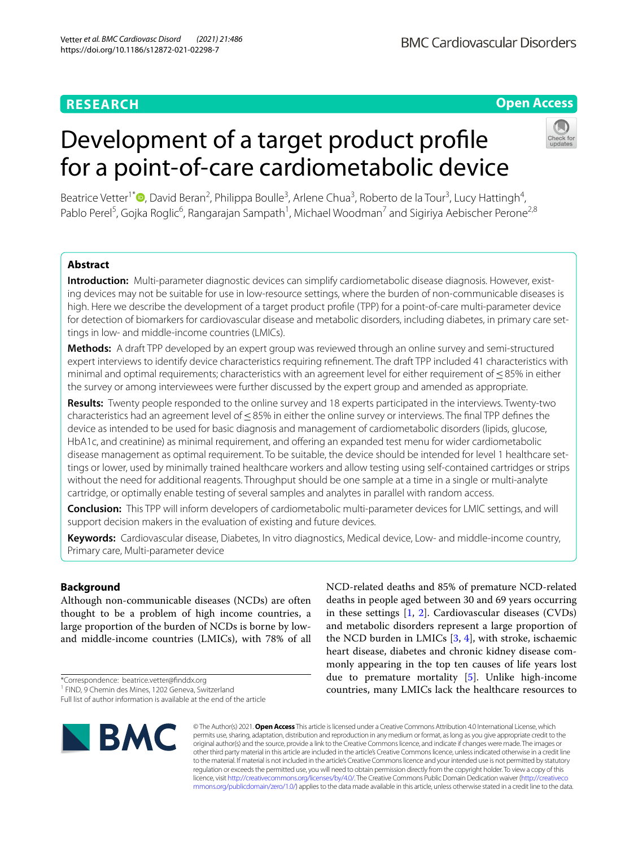# **RESEARCH**

# **Open Access**

# Development of a target product profle for a point-of-care cardiometabolic device



Beatrice Vetter<sup>1[\\*](http://orcid.org/0000-0002-7898-472X)</sup><sup>®</sup>, David Beran<sup>2</sup>, Philippa Boulle<sup>3</sup>, Arlene Chua<sup>3</sup>, Roberto de la Tour<sup>3</sup>, Lucy Hattingh<sup>4</sup>, Pablo Perel<sup>5</sup>, Gojka Roglic<sup>6</sup>, Rangarajan Sampath<sup>1</sup>, Michael Woodman<sup>7</sup> and Sigiriya Aebischer Perone<sup>2,8</sup>

# **Abstract**

**Introduction:** Multi-parameter diagnostic devices can simplify cardiometabolic disease diagnosis. However, existing devices may not be suitable for use in low-resource settings, where the burden of non-communicable diseases is high. Here we describe the development of a target product profle (TPP) for a point-of-care multi-parameter device for detection of biomarkers for cardiovascular disease and metabolic disorders, including diabetes, in primary care settings in low- and middle-income countries (LMICs).

**Methods:** A draft TPP developed by an expert group was reviewed through an online survey and semi-structured expert interviews to identify device characteristics requiring refnement. The draft TPP included 41 characteristics with minimal and optimal requirements; characteristics with an agreement level for either requirement of≤85% in either the survey or among interviewees were further discussed by the expert group and amended as appropriate.

**Results:** Twenty people responded to the online survey and 18 experts participated in the interviews. Twenty-two characteristics had an agreement level of <85% in either the online survey or interviews. The final TPP defines the device as intended to be used for basic diagnosis and management of cardiometabolic disorders (lipids, glucose, HbA1c, and creatinine) as minimal requirement, and offering an expanded test menu for wider cardiometabolic disease management as optimal requirement. To be suitable, the device should be intended for level 1 healthcare settings or lower, used by minimally trained healthcare workers and allow testing using self-contained cartridges or strips without the need for additional reagents. Throughput should be one sample at a time in a single or multi-analyte cartridge, or optimally enable testing of several samples and analytes in parallel with random access.

**Conclusion:** This TPP will inform developers of cardiometabolic multi-parameter devices for LMIC settings, and will support decision makers in the evaluation of existing and future devices.

**Keywords:** Cardiovascular disease, Diabetes, In vitro diagnostics, Medical device, Low- and middle-income country, Primary care, Multi-parameter device

# **Background**

Although non-communicable diseases (NCDs) are often thought to be a problem of high income countries, a large proportion of the burden of NCDs is borne by lowand middle-income countries (LMICs), with 78% of all

\*Correspondence: beatrice.vetter@fnddx.org

Full list of author information is available at the end of the article



NCD-related deaths and 85% of premature NCD-related deaths in people aged between 30 and 69 years occurring in these settings [\[1,](#page-11-0) [2\]](#page-11-1). Cardiovascular diseases (CVDs) and metabolic disorders represent a large proportion of the NCD burden in LMICs  $[3, 4]$  $[3, 4]$  $[3, 4]$  $[3, 4]$ , with stroke, ischaemic heart disease, diabetes and chronic kidney disease commonly appearing in the top ten causes of life years lost due to premature mortality [[5\]](#page-11-4). Unlike high-income countries, many LMICs lack the healthcare resources to

© The Author(s) 2021. **Open Access** This article is licensed under a Creative Commons Attribution 4.0 International License, which permits use, sharing, adaptation, distribution and reproduction in any medium or format, as long as you give appropriate credit to the original author(s) and the source, provide a link to the Creative Commons licence, and indicate if changes were made. The images or other third party material in this article are included in the article's Creative Commons licence, unless indicated otherwise in a credit line to the material. If material is not included in the article's Creative Commons licence and your intended use is not permitted by statutory regulation or exceeds the permitted use, you will need to obtain permission directly from the copyright holder. To view a copy of this licence, visit [http://creativecommons.org/licenses/by/4.0/.](http://creativecommons.org/licenses/by/4.0/) The Creative Commons Public Domain Dedication waiver ([http://creativeco](http://creativecommons.org/publicdomain/zero/1.0/) [mmons.org/publicdomain/zero/1.0/](http://creativecommons.org/publicdomain/zero/1.0/)) applies to the data made available in this article, unless otherwise stated in a credit line to the data.

<sup>&</sup>lt;sup>1</sup> FIND, 9 Chemin des Mines, 1202 Geneva, Switzerland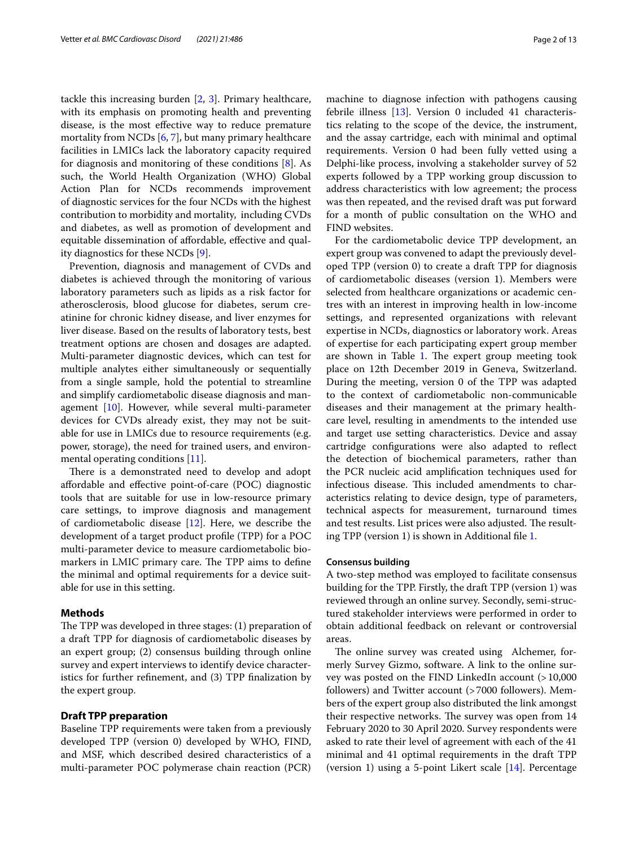tackle this increasing burden [\[2](#page-11-1), [3\]](#page-11-2). Primary healthcare, with its emphasis on promoting health and preventing disease, is the most efective way to reduce premature mortality from NCDs [\[6](#page-12-0), [7](#page-12-1)], but many primary healthcare facilities in LMICs lack the laboratory capacity required for diagnosis and monitoring of these conditions [\[8](#page-12-2)]. As such, the World Health Organization (WHO) Global Action Plan for NCDs recommends improvement of diagnostic services for the four NCDs with the highest contribution to morbidity and mortality, including CVDs and diabetes, as well as promotion of development and equitable dissemination of afordable, efective and quality diagnostics for these NCDs [\[9](#page-12-3)].

Prevention, diagnosis and management of CVDs and diabetes is achieved through the monitoring of various laboratory parameters such as lipids as a risk factor for atherosclerosis, blood glucose for diabetes, serum creatinine for chronic kidney disease, and liver enzymes for liver disease. Based on the results of laboratory tests, best treatment options are chosen and dosages are adapted. Multi-parameter diagnostic devices, which can test for multiple analytes either simultaneously or sequentially from a single sample, hold the potential to streamline and simplify cardiometabolic disease diagnosis and management [[10](#page-12-4)]. However, while several multi-parameter devices for CVDs already exist, they may not be suitable for use in LMICs due to resource requirements (e.g. power, storage), the need for trained users, and environmental operating conditions [\[11](#page-12-5)].

There is a demonstrated need to develop and adopt afordable and efective point-of-care (POC) diagnostic tools that are suitable for use in low-resource primary care settings, to improve diagnosis and management of cardiometabolic disease [[12](#page-12-6)]. Here, we describe the development of a target product profle (TPP) for a POC multi-parameter device to measure cardiometabolic biomarkers in LMIC primary care. The TPP aims to define the minimal and optimal requirements for a device suitable for use in this setting.

#### **Methods**

The TPP was developed in three stages:  $(1)$  preparation of a draft TPP for diagnosis of cardiometabolic diseases by an expert group; (2) consensus building through online survey and expert interviews to identify device characteristics for further refnement, and (3) TPP fnalization by the expert group.

#### **Draft TPP preparation**

Baseline TPP requirements were taken from a previously developed TPP (version 0) developed by WHO, FIND, and MSF, which described desired characteristics of a multi-parameter POC polymerase chain reaction (PCR)

machine to diagnose infection with pathogens causing febrile illness [[13\]](#page-12-7). Version 0 included 41 characteristics relating to the scope of the device, the instrument, and the assay cartridge, each with minimal and optimal requirements. Version 0 had been fully vetted using a Delphi-like process, involving a stakeholder survey of 52 experts followed by a TPP working group discussion to address characteristics with low agreement; the process was then repeated, and the revised draft was put forward for a month of public consultation on the WHO and FIND websites.

For the cardiometabolic device TPP development, an expert group was convened to adapt the previously developed TPP (version 0) to create a draft TPP for diagnosis of cardiometabolic diseases (version 1). Members were selected from healthcare organizations or academic centres with an interest in improving health in low-income settings, and represented organizations with relevant expertise in NCDs, diagnostics or laboratory work. Areas of expertise for each participating expert group member are shown in Table [1.](#page-2-0) The expert group meeting took place on 12th December 2019 in Geneva, Switzerland. During the meeting, version 0 of the TPP was adapted to the context of cardiometabolic non-communicable diseases and their management at the primary healthcare level, resulting in amendments to the intended use and target use setting characteristics. Device and assay cartridge confgurations were also adapted to refect the detection of biochemical parameters, rather than the PCR nucleic acid amplifcation techniques used for infectious disease. This included amendments to characteristics relating to device design, type of parameters, technical aspects for measurement, turnaround times and test results. List prices were also adjusted. The resulting TPP (version 1) is shown in Additional fle [1](#page-11-5).

#### **Consensus building**

A two-step method was employed to facilitate consensus building for the TPP. Firstly, the draft TPP (version 1) was reviewed through an online survey. Secondly, semi-structured stakeholder interviews were performed in order to obtain additional feedback on relevant or controversial areas.

The online survey was created using Alchemer, formerly Survey Gizmo, software. A link to the online survey was posted on the FIND LinkedIn account (>10,000 followers) and Twitter account (>7000 followers). Members of the expert group also distributed the link amongst their respective networks. The survey was open from 14 February 2020 to 30 April 2020. Survey respondents were asked to rate their level of agreement with each of the 41 minimal and 41 optimal requirements in the draft TPP (version 1) using a 5-point Likert scale [\[14\]](#page-12-8). Percentage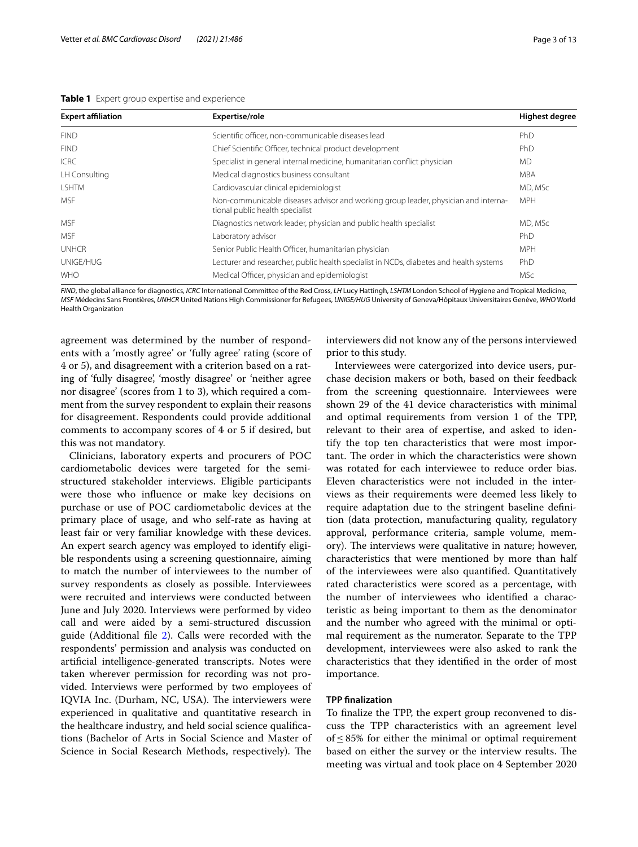<span id="page-2-0"></span>**Table 1** Expert group expertise and experience

| <b>Expert affiliation</b> | Expertise/role                                                                                                        | <b>Highest degree</b> |
|---------------------------|-----------------------------------------------------------------------------------------------------------------------|-----------------------|
| <b>FIND</b>               | Scientific officer, non-communicable diseases lead                                                                    | PhD                   |
| <b>FIND</b>               | Chief Scientific Officer, technical product development                                                               | PhD                   |
| <b>ICRC</b>               | Specialist in general internal medicine, humanitarian conflict physician                                              | <b>MD</b>             |
| LH Consulting             | Medical diagnostics business consultant                                                                               | <b>MBA</b>            |
| <b>I SHTM</b>             | Cardiovascular clinical epidemiologist                                                                                | MD, MSc               |
| <b>MSF</b>                | Non-communicable diseases advisor and working group leader, physician and interna-<br>tional public health specialist | <b>MPH</b>            |
| <b>MSF</b>                | Diagnostics network leader, physician and public health specialist                                                    | MD, MSc               |
| <b>MSF</b>                | Laboratory advisor                                                                                                    | PhD                   |
| <b>UNHCR</b>              | Senior Public Health Officer, humanitarian physician                                                                  | <b>MPH</b>            |
| UNIGE/HUG                 | Lecturer and researcher, public health specialist in NCDs, diabetes and health systems                                | PhD                   |
| <b>WHO</b>                | Medical Officer, physician and epidemiologist                                                                         | <b>MSc</b>            |

*FIND*, the global alliance for diagnostics, *ICRC* International Committee of the Red Cross, *LH* Lucy Hattingh, *LSHTM* London School of Hygiene and Tropical Medicine, *MSF* Médecins Sans Frontières, *UNHCR* United Nations High Commissioner for Refugees, *UNIGE/HUG* University of Geneva/Hôpitaux Universitaires Genève, *WHO* World Health Organization

agreement was determined by the number of respondents with a 'mostly agree' or 'fully agree' rating (score of 4 or 5), and disagreement with a criterion based on a rating of 'fully disagree', 'mostly disagree' or 'neither agree nor disagree' (scores from 1 to 3), which required a comment from the survey respondent to explain their reasons for disagreement. Respondents could provide additional comments to accompany scores of 4 or 5 if desired, but this was not mandatory.

Clinicians, laboratory experts and procurers of POC cardiometabolic devices were targeted for the semistructured stakeholder interviews. Eligible participants were those who infuence or make key decisions on purchase or use of POC cardiometabolic devices at the primary place of usage, and who self-rate as having at least fair or very familiar knowledge with these devices. An expert search agency was employed to identify eligible respondents using a screening questionnaire, aiming to match the number of interviewees to the number of survey respondents as closely as possible. Interviewees were recruited and interviews were conducted between June and July 2020. Interviews were performed by video call and were aided by a semi-structured discussion guide (Additional fle [2](#page-11-6)). Calls were recorded with the respondents' permission and analysis was conducted on artifcial intelligence-generated transcripts. Notes were taken wherever permission for recording was not provided. Interviews were performed by two employees of IQVIA Inc. (Durham, NC, USA). The interviewers were experienced in qualitative and quantitative research in the healthcare industry, and held social science qualifcations (Bachelor of Arts in Social Science and Master of Science in Social Research Methods, respectively). The

interviewers did not know any of the persons interviewed prior to this study.

Interviewees were catergorized into device users, purchase decision makers or both, based on their feedback from the screening questionnaire. Interviewees were shown 29 of the 41 device characteristics with minimal and optimal requirements from version 1 of the TPP, relevant to their area of expertise, and asked to identify the top ten characteristics that were most important. The order in which the characteristics were shown was rotated for each interviewee to reduce order bias. Eleven characteristics were not included in the interviews as their requirements were deemed less likely to require adaptation due to the stringent baseline defnition (data protection, manufacturing quality, regulatory approval, performance criteria, sample volume, memory). The interviews were qualitative in nature; however, characteristics that were mentioned by more than half of the interviewees were also quantifed. Quantitatively rated characteristics were scored as a percentage, with the number of interviewees who identifed a characteristic as being important to them as the denominator and the number who agreed with the minimal or optimal requirement as the numerator. Separate to the TPP development, interviewees were also asked to rank the characteristics that they identifed in the order of most importance.

#### **TPP fnalization**

To fnalize the TPP, the expert group reconvened to discuss the TPP characteristics with an agreement level of≤85% for either the minimal or optimal requirement based on either the survey or the interview results. The meeting was virtual and took place on 4 September 2020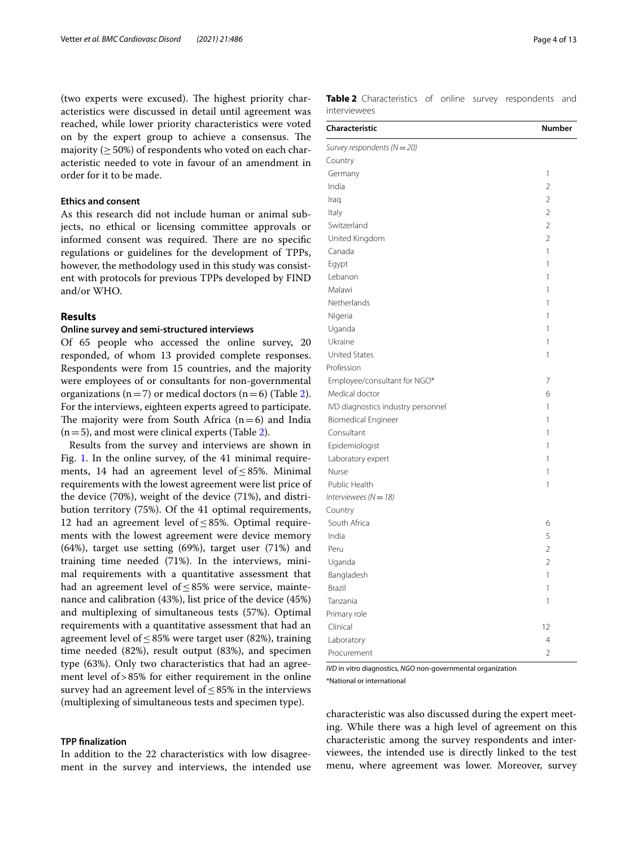(two experts were excused). The highest priority characteristics were discussed in detail until agreement was reached, while lower priority characteristics were voted on by the expert group to achieve a consensus. The majority ( $>50\%$ ) of respondents who voted on each characteristic needed to vote in favour of an amendment in order for it to be made.

#### **Ethics and consent**

As this research did not include human or animal subjects, no ethical or licensing committee approvals or informed consent was required. There are no specific regulations or guidelines for the development of TPPs, however, the methodology used in this study was consistent with protocols for previous TPPs developed by FIND and/or WHO.

#### **Results**

#### **Online survey and semi‑structured interviews**

Of 65 people who accessed the online survey, 20 responded, of whom 13 provided complete responses. Respondents were from 15 countries, and the majority were employees of or consultants for non-governmental organizations ( $n=7$ ) or medical doctors ( $n=6$ ) (Table [2](#page-3-0)). For the interviews, eighteen experts agreed to participate. The majority were from South Africa  $(n=6)$  and India  $(n=5)$ , and most were clinical experts (Table [2\)](#page-3-0).

Results from the survey and interviews are shown in Fig. [1](#page-4-0). In the online survey, of the 41 minimal requirements, 14 had an agreement level of  $\leq$  85%. Minimal requirements with the lowest agreement were list price of the device (70%), weight of the device (71%), and distribution territory (75%). Of the 41 optimal requirements, 12 had an agreement level of≤85%. Optimal requirements with the lowest agreement were device memory (64%), target use setting (69%), target user (71%) and training time needed (71%). In the interviews, minimal requirements with a quantitative assessment that had an agreement level of≤85% were service, maintenance and calibration (43%), list price of the device (45%) and multiplexing of simultaneous tests (57%). Optimal requirements with a quantitative assessment that had an agreement level of  $\leq$  85% were target user (82%), training time needed (82%), result output (83%), and specimen type (63%). Only two characteristics that had an agreement level of>85% for either requirement in the online survey had an agreement level of  $\leq$ 85% in the interviews (multiplexing of simultaneous tests and specimen type).

#### **TPP fnalization**

In addition to the 22 characteristics with low disagreement in the survey and interviews, the intended use <span id="page-3-0"></span>**Table 2** Characteristics of online survey respondents and interviewees

| Characteristic                     | <b>Number</b>  |
|------------------------------------|----------------|
| Survey respondents (N = 20)        |                |
| Country                            |                |
| Germany                            | 1              |
| India                              | 2              |
| Iraq                               | $\overline{2}$ |
| Italy                              | $\overline{2}$ |
| Switzerland                        | $\overline{2}$ |
| United Kingdom                     | $\overline{2}$ |
| Canada                             | 1              |
| Egypt                              | 1              |
| Lebanon                            | 1              |
| Malawi                             | 1              |
| Netherlands                        | 1              |
| Nigeria                            | 1              |
| Uganda                             | 1              |
| Ukraine                            | 1              |
| <b>United States</b>               | 1              |
| Profession                         |                |
| Employee/consultant for NGO*       | $\overline{7}$ |
| Medical doctor                     | 6              |
| IVD diagnostics industry personnel | 1              |
| <b>Biomedical Engineer</b>         | 1              |
| Consultant                         | 1              |
| Epidemiologist                     | 1              |
| Laboratory expert                  | 1              |
| Nurse                              | 1              |
| Public Health                      | 1              |
| Interviewees ( $N = 18$ )          |                |
| Country                            |                |
| South Africa                       | 6              |
| India                              | 5              |
| Peru                               | $\overline{2}$ |
| Uganda                             | $\overline{2}$ |
| Bangladesh                         | 1              |
| <b>Brazil</b>                      | 1              |
| Tanzania                           | 1              |
| Primary role                       |                |
| Clinical                           | 12             |
| Laboratory                         | $\overline{4}$ |
| Procurement                        | $\overline{2}$ |

*IVD* in vitro diagnostics, *NGO* non-governmental organization \*National or international

characteristic was also discussed during the expert meeting. While there was a high level of agreement on this characteristic among the survey respondents and interviewees, the intended use is directly linked to the test menu, where agreement was lower. Moreover, survey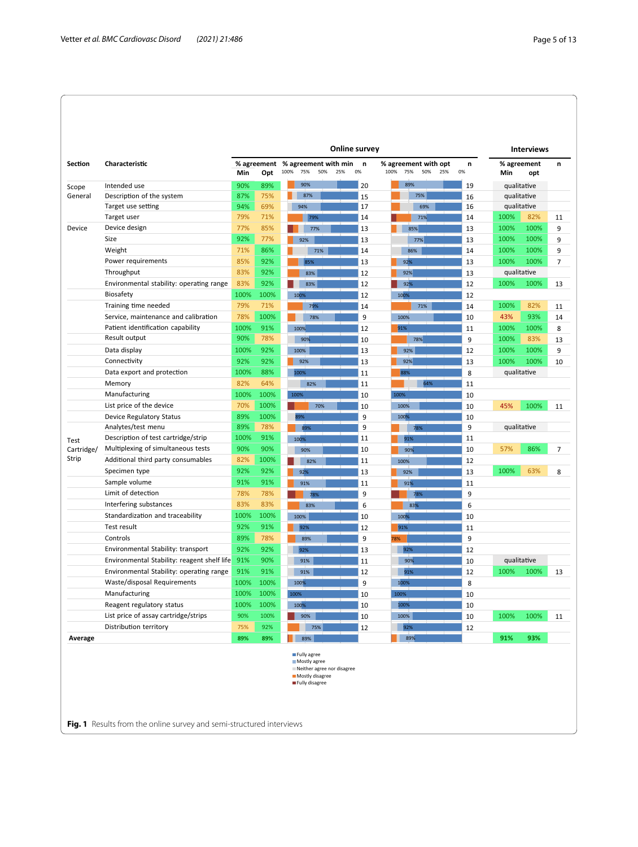|                |                                             | Online survey |                    |                                     |                                                                                                |     |         |      |                                    | <b>Interviews</b> |         |      |                    |                |
|----------------|---------------------------------------------|---------------|--------------------|-------------------------------------|------------------------------------------------------------------------------------------------|-----|---------|------|------------------------------------|-------------------|---------|------|--------------------|----------------|
| <b>Section</b> | Characteristic                              | Min           | % agreement<br>Opt | % agreement with min<br>100%<br>75% | 50%                                                                                            | 25% | n<br>0% | 100% | % agreement with opt<br>75%<br>50% | 25%               | n<br>0% | Min  | % agreement<br>opt | n              |
| Scope          | Intended use                                | 90%           | 89%                | 90%                                 |                                                                                                |     | 20      |      | 89%                                |                   | 19      |      | qualitative        |                |
| General        | Description of the system                   | 87%           | 75%                | ۰                                   | 87%                                                                                            |     | 15      |      | 75%                                |                   | 16      |      | qualitative        |                |
|                | Target use setting                          | 94%           | 69%                | 94%                                 |                                                                                                |     | 17      |      | 69%                                |                   | 16      |      | qualitative        |                |
|                | Target user                                 | 79%           | 71%                |                                     | 79%                                                                                            |     | 14      |      | 71%                                |                   | 14      | 100% | 82%                | 11             |
| Device         | Device design                               | 77%           | 85%                |                                     | 77%                                                                                            |     | 13      |      | 85%                                |                   | 13      | 100% | 100%               | 9              |
|                | Size                                        | 92%           | 77%                | 92%                                 |                                                                                                |     | 13      |      | 77%                                |                   | 13      | 100% | 100%               | 9              |
|                | Weight                                      | 71%           | 86%                |                                     | 71%                                                                                            |     | 14      |      | 86%                                |                   | 14      | 100% | 100%               | 9              |
|                | Power requirements                          | 85%           | 92%                |                                     | 85%                                                                                            |     | 13      |      | 92%                                |                   | 13      | 100% | 100%               | $\overline{7}$ |
|                | Throughput                                  | 83%           | 92%                |                                     | 83%                                                                                            |     | 12      |      | 92%                                |                   | 13      |      | qualitative        |                |
|                | Environmental stability: operating range    | 83%           | 92%                |                                     | 83%                                                                                            |     | 12      |      | 92%                                |                   | 12      | 100% | 100%               | 13             |
|                | Biosafety                                   | 100%          | 100%               | 100%                                |                                                                                                |     | 12      | 100% |                                    |                   | 12      |      |                    |                |
|                | Training time needed                        | 79%           | 71%                |                                     | 79%                                                                                            |     | 14      |      | 71%                                |                   | 14      | 100% | 82%                | 11             |
|                | Service, maintenance and calibration        | 78%           | 100%               |                                     | 78%                                                                                            |     | 9       | 100% |                                    |                   | 10      | 43%  | 93%                | 14             |
|                | Patient identification capability           | 100%          | 91%                | 100%                                |                                                                                                |     | 12      | 91%  |                                    |                   | 11      | 100% | 100%               | 8              |
|                | Result output                               | 90%           | 78%                | 90%                                 |                                                                                                |     | 10      |      | 78%                                |                   | 9       | 100% | 83%                | 13             |
|                | Data display                                | 100%          | 92%                | 100%                                |                                                                                                |     | 13      |      | 92%                                |                   | 12      | 100% | 100%               | 9              |
|                | Connectivity                                | 92%           | 92%                | 92%                                 |                                                                                                |     | 13      |      | 92%                                |                   | 13      | 100% | 100%               | 10             |
|                | Data export and protection                  | 100%          | 88%                | 100%                                |                                                                                                |     | 11      |      | 88%                                |                   | 8       |      | qualitative        |                |
|                | Memory                                      | 82%           | 64%                |                                     | 82%                                                                                            |     | 11      |      | 64%                                |                   | 11      |      |                    |                |
|                | Manufacturing                               | 100%          | 100%               | 100%                                |                                                                                                |     | 10      | 100% |                                    |                   | 10      |      |                    |                |
|                | List price of the device                    | 70%           | 100%               |                                     | 70%                                                                                            |     | 10      | 100% |                                    |                   | 10      | 45%  | 100%               | 11             |
|                | Device Regulatory Status                    | 89%           | 100%               | 89%                                 |                                                                                                |     | 9       | 100% |                                    |                   | 10      |      |                    |                |
|                | Analytes/test menu                          | 89%           | 78%                | 89%                                 |                                                                                                |     | 9       |      | 78%                                |                   | 9       |      | qualitative        |                |
| Test           | Description of test cartridge/strip         | 100%          | 91%                | 100%                                |                                                                                                |     | 11      |      | 91%                                |                   | 11      |      |                    |                |
| Cartridge/     | Multiplexing of simultaneous tests          | 90%           | 90%                | 90%                                 |                                                                                                |     | 10      |      | 90%                                |                   | 10      | 57%  | 86%                | 7              |
| Strip          | Additional third party consumables          | 82%           | 100%               |                                     | 82%                                                                                            |     | 11      |      | 100%                               |                   | 12      |      |                    |                |
|                | Specimen type                               | 92%           | 92%                | 92%                                 |                                                                                                |     | 13      |      | 92%                                |                   | 13      | 100% | 63%                | 8              |
|                | Sample volume                               | 91%           | 91%                | 91%                                 |                                                                                                |     | 11      |      | 91%                                |                   | 11      |      |                    |                |
|                | Limit of detection                          | 78%           | 78%                |                                     | 78%                                                                                            |     | 9       |      | 78%                                |                   | 9       |      |                    |                |
|                | Interfering substances                      | 83%           | 83%                |                                     | 83%                                                                                            |     | 6       |      | 83%                                |                   | 6       |      |                    |                |
|                | Standardization and traceability            | 100%          | 100%               | 100%                                |                                                                                                |     | 10      | 100% |                                    |                   | 10      |      |                    |                |
|                | Test result                                 | 92%           | 91%                | 92%                                 |                                                                                                |     | 12      | 91%  |                                    |                   | 11      |      |                    |                |
|                | Controls                                    | 89%           | 78%                | 89%                                 |                                                                                                |     | 9       | 78%  |                                    |                   | 9       |      |                    |                |
|                | Environmental Stability: transport          | 92%           | 92%                | 92%                                 |                                                                                                |     | 13      |      | 92%                                |                   | 12      |      |                    |                |
|                | Environmental Stability: reagent shelf life | 91%           | 90%                | 91%                                 |                                                                                                |     | 11      |      | 90%                                |                   | 10      |      | qualitative        |                |
|                | Environmental Stability: operating range    | 91%           | 91%                | 91%                                 |                                                                                                |     | 12      |      | 91%                                |                   | 12      | 100% | 100%               | 13             |
|                | Waste/disposal Requirements                 | 100%          | 100%               | 100%                                |                                                                                                |     | 9       | 100% |                                    |                   | 8       |      |                    |                |
|                | Manufacturing                               | 100%          | 100%               | 100%                                |                                                                                                |     | 10      | 100% |                                    |                   | 10      |      |                    |                |
|                | Reagent regulatory status                   | 100%          | 100%               | 100%                                |                                                                                                |     | 10      |      | 100%                               |                   | 10      |      |                    |                |
|                | List price of assay cartridge/strips        | 90%           | 100%               | 90%                                 |                                                                                                |     | 10      |      | 100%                               |                   | 10      | 100% | 100%               | 11             |
|                | Distribution territory                      | 75%           | 92%                |                                     | 75%                                                                                            |     | 12      |      | 92%                                |                   | 12      |      |                    |                |
| Average        |                                             | 89%           | 89%                |                                     | 89%                                                                                            |     |         |      | 89%                                |                   |         | 91%  | 93%                |                |
|                |                                             |               |                    |                                     | Fully agree<br>Mostly agree<br>Neither agree nor disagree<br>Mostly disagree<br>Fully disagree |     |         |      |                                    |                   |         |      |                    |                |

<span id="page-4-0"></span>**Fig. 1** Results from the online survey and semi-structured interviews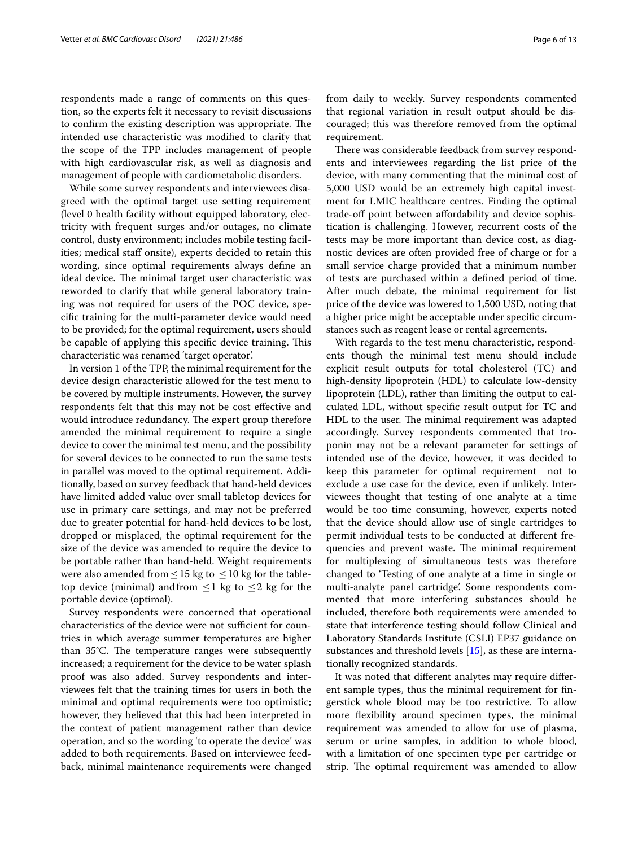respondents made a range of comments on this question, so the experts felt it necessary to revisit discussions to confirm the existing description was appropriate. The intended use characteristic was modifed to clarify that the scope of the TPP includes management of people with high cardiovascular risk, as well as diagnosis and management of people with cardiometabolic disorders.

While some survey respondents and interviewees disagreed with the optimal target use setting requirement (level 0 health facility without equipped laboratory, electricity with frequent surges and/or outages, no climate control, dusty environment; includes mobile testing facilities; medical staff onsite), experts decided to retain this wording, since optimal requirements always defne an ideal device. The minimal target user characteristic was reworded to clarify that while general laboratory training was not required for users of the POC device, specifc training for the multi-parameter device would need to be provided; for the optimal requirement, users should be capable of applying this specific device training. This characteristic was renamed 'target operator'.

In version 1 of the TPP, the minimal requirement for the device design characteristic allowed for the test menu to be covered by multiple instruments. However, the survey respondents felt that this may not be cost efective and would introduce redundancy. The expert group therefore amended the minimal requirement to require a single device to cover the minimal test menu, and the possibility for several devices to be connected to run the same tests in parallel was moved to the optimal requirement. Additionally, based on survey feedback that hand-held devices have limited added value over small tabletop devices for use in primary care settings, and may not be preferred due to greater potential for hand-held devices to be lost, dropped or misplaced, the optimal requirement for the size of the device was amended to require the device to be portable rather than hand-held. Weight requirements were also amended from  $\leq$  15 kg to  $\leq$  10 kg for the tabletop device (minimal) and from  $\leq 1$  kg to  $\leq 2$  kg for the portable device (optimal).

Survey respondents were concerned that operational characteristics of the device were not sufficient for countries in which average summer temperatures are higher than  $35^{\circ}$ C. The temperature ranges were subsequently increased; a requirement for the device to be water splash proof was also added. Survey respondents and interviewees felt that the training times for users in both the minimal and optimal requirements were too optimistic; however, they believed that this had been interpreted in the context of patient management rather than device operation, and so the wording 'to operate the device' was added to both requirements. Based on interviewee feedback, minimal maintenance requirements were changed from daily to weekly. Survey respondents commented that regional variation in result output should be discouraged; this was therefore removed from the optimal requirement.

There was considerable feedback from survey respondents and interviewees regarding the list price of the device, with many commenting that the minimal cost of 5,000 USD would be an extremely high capital investment for LMIC healthcare centres. Finding the optimal trade-of point between afordability and device sophistication is challenging. However, recurrent costs of the tests may be more important than device cost, as diagnostic devices are often provided free of charge or for a small service charge provided that a minimum number of tests are purchased within a defned period of time. After much debate, the minimal requirement for list price of the device was lowered to 1,500 USD, noting that a higher price might be acceptable under specifc circumstances such as reagent lease or rental agreements.

With regards to the test menu characteristic, respondents though the minimal test menu should include explicit result outputs for total cholesterol (TC) and high-density lipoprotein (HDL) to calculate low-density lipoprotein (LDL), rather than limiting the output to calculated LDL, without specifc result output for TC and HDL to the user. The minimal requirement was adapted accordingly. Survey respondents commented that troponin may not be a relevant parameter for settings of intended use of the device, however, it was decided to keep this parameter for optimal requirement not to exclude a use case for the device, even if unlikely. Interviewees thought that testing of one analyte at a time would be too time consuming, however, experts noted that the device should allow use of single cartridges to permit individual tests to be conducted at diferent frequencies and prevent waste. The minimal requirement for multiplexing of simultaneous tests was therefore changed to 'Testing of one analyte at a time in single or multi-analyte panel cartridge'. Some respondents commented that more interfering substances should be included, therefore both requirements were amended to state that interference testing should follow Clinical and Laboratory Standards Institute (CSLI) EP37 guidance on substances and threshold levels [\[15](#page-12-9)], as these are internationally recognized standards.

It was noted that diferent analytes may require diferent sample types, thus the minimal requirement for fngerstick whole blood may be too restrictive. To allow more flexibility around specimen types, the minimal requirement was amended to allow for use of plasma, serum or urine samples, in addition to whole blood, with a limitation of one specimen type per cartridge or strip. The optimal requirement was amended to allow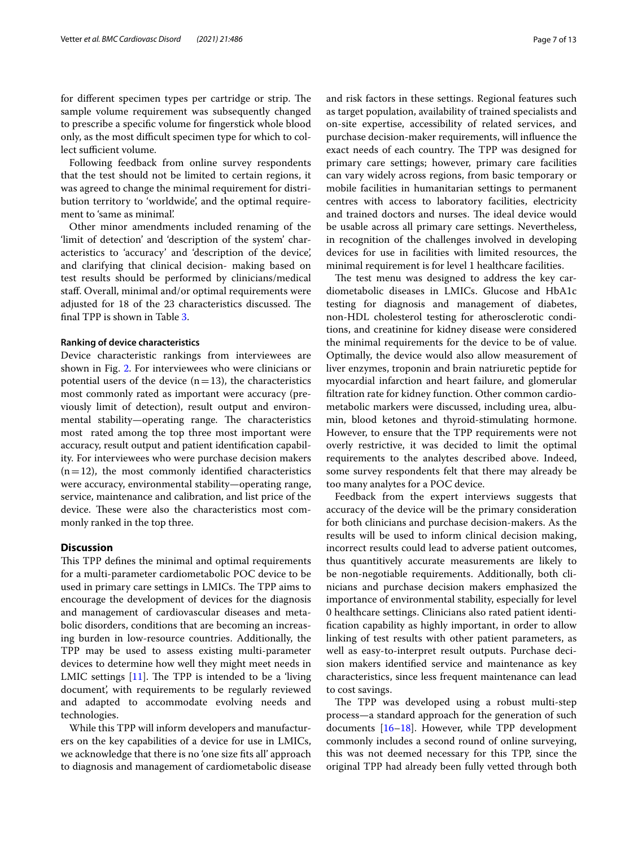for different specimen types per cartridge or strip. The sample volume requirement was subsequently changed to prescribe a specifc volume for fngerstick whole blood only, as the most difficult specimen type for which to collect sufficient volume.

Following feedback from online survey respondents that the test should not be limited to certain regions, it was agreed to change the minimal requirement for distribution territory to 'worldwide', and the optimal requirement to 'same as minimal'.

Other minor amendments included renaming of the 'limit of detection' and 'description of the system' characteristics to 'accuracy' and 'description of the device', and clarifying that clinical decision- making based on test results should be performed by clinicians/medical staf. Overall, minimal and/or optimal requirements were adjusted for 18 of the 23 characteristics discussed. The fnal TPP is shown in Table [3.](#page-7-0)

#### **Ranking of device characteristics**

Device characteristic rankings from interviewees are shown in Fig. [2](#page-10-0). For interviewees who were clinicians or potential users of the device  $(n=13)$ , the characteristics most commonly rated as important were accuracy (previously limit of detection), result output and environmental stability—operating range. The characteristics most rated among the top three most important were accuracy, result output and patient identifcation capability. For interviewees who were purchase decision makers  $(n=12)$ , the most commonly identified characteristics were accuracy, environmental stability—operating range, service, maintenance and calibration, and list price of the device. These were also the characteristics most commonly ranked in the top three.

# **Discussion**

This TPP defines the minimal and optimal requirements for a multi-parameter cardiometabolic POC device to be used in primary care settings in LMICs. The TPP aims to encourage the development of devices for the diagnosis and management of cardiovascular diseases and metabolic disorders, conditions that are becoming an increasing burden in low-resource countries. Additionally, the TPP may be used to assess existing multi-parameter devices to determine how well they might meet needs in LMIC settings  $[11]$  $[11]$ . The TPP is intended to be a 'living document', with requirements to be regularly reviewed and adapted to accommodate evolving needs and technologies.

While this TPP will inform developers and manufacturers on the key capabilities of a device for use in LMICs, we acknowledge that there is no 'one size fts all' approach to diagnosis and management of cardiometabolic disease and risk factors in these settings. Regional features such as target population, availability of trained specialists and on-site expertise, accessibility of related services, and

purchase decision-maker requirements, will infuence the exact needs of each country. The TPP was designed for primary care settings; however, primary care facilities can vary widely across regions, from basic temporary or mobile facilities in humanitarian settings to permanent centres with access to laboratory facilities, electricity and trained doctors and nurses. The ideal device would be usable across all primary care settings. Nevertheless, in recognition of the challenges involved in developing devices for use in facilities with limited resources, the minimal requirement is for level 1 healthcare facilities.

The test menu was designed to address the key cardiometabolic diseases in LMICs. Glucose and HbA1c testing for diagnosis and management of diabetes, non-HDL cholesterol testing for atherosclerotic conditions, and creatinine for kidney disease were considered the minimal requirements for the device to be of value. Optimally, the device would also allow measurement of liver enzymes, troponin and brain natriuretic peptide for myocardial infarction and heart failure, and glomerular fltration rate for kidney function. Other common cardiometabolic markers were discussed, including urea, albumin, blood ketones and thyroid-stimulating hormone. However, to ensure that the TPP requirements were not overly restrictive, it was decided to limit the optimal requirements to the analytes described above. Indeed, some survey respondents felt that there may already be too many analytes for a POC device.

Feedback from the expert interviews suggests that accuracy of the device will be the primary consideration for both clinicians and purchase decision-makers. As the results will be used to inform clinical decision making, incorrect results could lead to adverse patient outcomes, thus quantitively accurate measurements are likely to be non-negotiable requirements. Additionally, both clinicians and purchase decision makers emphasized the importance of environmental stability, especially for level 0 healthcare settings. Clinicians also rated patient identifcation capability as highly important, in order to allow linking of test results with other patient parameters, as well as easy-to-interpret result outputs. Purchase decision makers identifed service and maintenance as key characteristics, since less frequent maintenance can lead to cost savings.

The TPP was developed using a robust multi-step process—a standard approach for the generation of such documents  $[16–18]$  $[16–18]$ . However, while TPP development commonly includes a second round of online surveying, this was not deemed necessary for this TPP, since the original TPP had already been fully vetted through both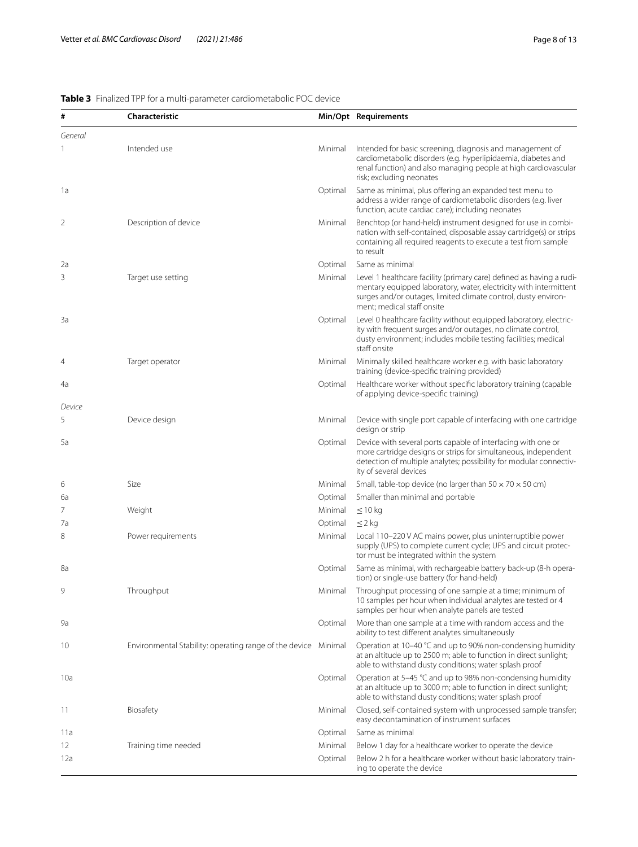| #       | <b>Characteristic</b>                                          |         | Min/Opt Requirements                                                                                                                                                                                                                      |
|---------|----------------------------------------------------------------|---------|-------------------------------------------------------------------------------------------------------------------------------------------------------------------------------------------------------------------------------------------|
| General |                                                                |         |                                                                                                                                                                                                                                           |
|         | Intended use                                                   | Minimal | Intended for basic screening, diagnosis and management of<br>cardiometabolic disorders (e.g. hyperlipidaemia, diabetes and<br>renal function) and also managing people at high cardiovascular<br>risk; excluding neonates                 |
| 1a      |                                                                | Optimal | Same as minimal, plus offering an expanded test menu to<br>address a wider range of cardiometabolic disorders (e.g. liver<br>function, acute cardiac care); including neonates                                                            |
| 2       | Description of device                                          | Minimal | Benchtop (or hand-held) instrument designed for use in combi-<br>nation with self-contained, disposable assay cartridge(s) or strips<br>containing all required reagents to execute a test from sample<br>to result                       |
| 2a      |                                                                | Optimal | Same as minimal                                                                                                                                                                                                                           |
| 3       | Target use setting                                             | Minimal | Level 1 healthcare facility (primary care) defined as having a rudi-<br>mentary equipped laboratory, water, electricity with intermittent<br>surges and/or outages, limited climate control, dusty environ-<br>ment; medical staff onsite |
| 3a      |                                                                | Optimal | Level 0 healthcare facility without equipped laboratory, electric-<br>ity with frequent surges and/or outages, no climate control,<br>dusty environment; includes mobile testing facilities; medical<br>staff onsite                      |
| 4       | Target operator                                                | Minimal | Minimally skilled healthcare worker e.g. with basic laboratory<br>training (device-specific training provided)                                                                                                                            |
| 4a      |                                                                | Optimal | Healthcare worker without specific laboratory training (capable<br>of applying device-specific training)                                                                                                                                  |
| Device  |                                                                |         |                                                                                                                                                                                                                                           |
| 5       | Device design                                                  | Minimal | Device with single port capable of interfacing with one cartridge<br>design or strip                                                                                                                                                      |
| 5a      |                                                                | Optimal | Device with several ports capable of interfacing with one or<br>more cartridge designs or strips for simultaneous, independent<br>detection of multiple analytes; possibility for modular connectiv-<br>ity of several devices            |
| 6       | Size                                                           | Minimal | Small, table-top device (no larger than $50 \times 70 \times 50$ cm)                                                                                                                                                                      |
| 6a      |                                                                | Optimal | Smaller than minimal and portable                                                                                                                                                                                                         |
| 7       | Weight                                                         | Minimal | $\leq$ 10 kg                                                                                                                                                                                                                              |
| 7a      |                                                                | Optimal | $\leq$ 2 kg                                                                                                                                                                                                                               |
| 8       | Power requirements                                             | Minimal | Local 110-220 V AC mains power, plus uninterruptible power<br>supply (UPS) to complete current cycle; UPS and circuit protec-<br>tor must be integrated within the system                                                                 |
| 8a      |                                                                | Optimal | Same as minimal, with rechargeable battery back-up (8-h opera-<br>tion) or single-use battery (for hand-held)                                                                                                                             |
| 9       | Throughput                                                     | Minimal | Throughput processing of one sample at a time; minimum of<br>10 samples per hour when individual analytes are tested or 4<br>samples per hour when analyte panels are tested                                                              |
| 9a      |                                                                | Optimal | More than one sample at a time with random access and the<br>ability to test different analytes simultaneously                                                                                                                            |
| 10      | Environmental Stability: operating range of the device Minimal |         | Operation at 10-40 °C and up to 90% non-condensing humidity<br>at an altitude up to 2500 m; able to function in direct sunlight;<br>able to withstand dusty conditions; water splash proof                                                |
| 10a     |                                                                | Optimal | Operation at 5-45 °C and up to 98% non-condensing humidity<br>at an altitude up to 3000 m; able to function in direct sunlight;<br>able to withstand dusty conditions; water splash proof                                                 |
| 11      | Biosafety                                                      | Minimal | Closed, self-contained system with unprocessed sample transfer;<br>easy decontamination of instrument surfaces                                                                                                                            |
| 11a     |                                                                | Optimal | Same as minimal                                                                                                                                                                                                                           |
| 12      | Training time needed                                           | Minimal | Below 1 day for a healthcare worker to operate the device                                                                                                                                                                                 |
| 12a     |                                                                | Optimal | Below 2 h for a healthcare worker without basic laboratory train-<br>ing to operate the device                                                                                                                                            |

## <span id="page-7-0"></span>**Table 3** Finalized TPP for a multi-parameter cardiometabolic POC device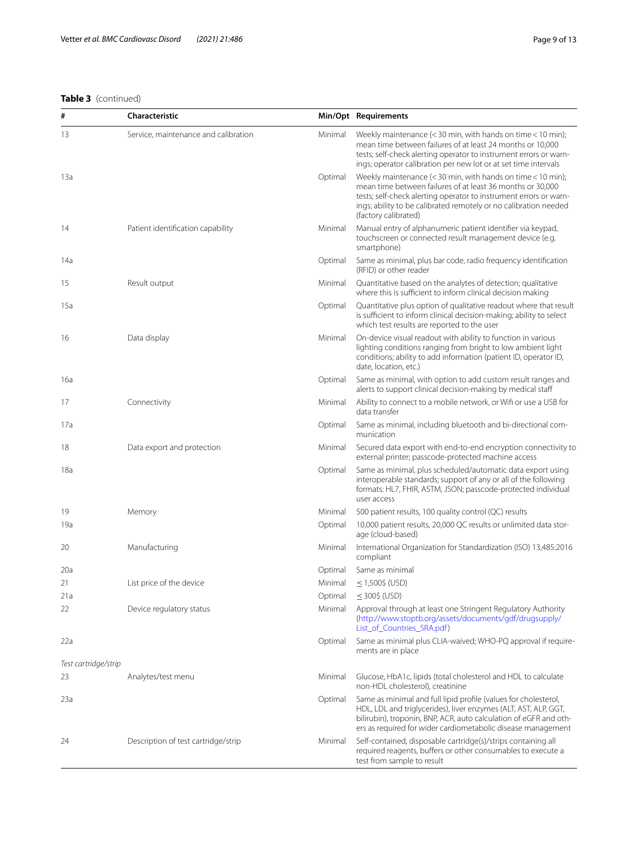# **Table 3** (continued)

| #                    | Characteristic                       |         | Min/Opt Requirements                                                                                                                                                                                                                                                                           |
|----------------------|--------------------------------------|---------|------------------------------------------------------------------------------------------------------------------------------------------------------------------------------------------------------------------------------------------------------------------------------------------------|
| 13                   | Service, maintenance and calibration | Minimal | Weekly maintenance $(<$ 30 min, with hands on time $<$ 10 min);<br>mean time between failures of at least 24 months or 10,000<br>tests; self-check alerting operator to instrument errors or warn-<br>ings; operator calibration per new lot or at set time intervals                          |
| 13a                  |                                      | Optimal | Weekly maintenance $(<$ 30 min, with hands on time $<$ 10 min);<br>mean time between failures of at least 36 months or 30,000<br>tests; self-check alerting operator to instrument errors or warn-<br>ings; ability to be calibrated remotely or no calibration needed<br>(factory calibrated) |
| 14                   | Patient identification capability    | Minimal | Manual entry of alphanumeric patient identifier via keypad,<br>touchscreen or connected result management device (e.g.<br>smartphone)                                                                                                                                                          |
| 14a                  |                                      | Optimal | Same as minimal, plus bar code, radio frequency identification<br>(RFID) or other reader                                                                                                                                                                                                       |
| 15                   | Result output                        | Minimal | Quantitative based on the analytes of detection; qualitative<br>where this is sufficient to inform clinical decision making                                                                                                                                                                    |
| 15a                  |                                      | Optimal | Quantitative plus option of qualitative readout where that result<br>is sufficient to inform clinical decision-making; ability to select<br>which test results are reported to the user                                                                                                        |
| 16                   | Data display                         | Minimal | On-device visual readout with ability to function in various<br>lighting conditions ranging from bright to low ambient light<br>conditions; ability to add information (patient ID, operator ID,<br>date, location, etc.)                                                                      |
| 16a                  |                                      | Optimal | Same as minimal, with option to add custom result ranges and<br>alerts to support clinical decision-making by medical staff                                                                                                                                                                    |
| 17                   | Connectivity                         | Minimal | Ability to connect to a mobile network, or Wifi or use a USB for<br>data transfer                                                                                                                                                                                                              |
| 17a                  |                                      | Optimal | Same as minimal, including bluetooth and bi-directional com-<br>munication                                                                                                                                                                                                                     |
| 18                   | Data export and protection           | Minimal | Secured data export with end-to-end encryption connectivity to<br>external printer; passcode-protected machine access                                                                                                                                                                          |
| 18a                  |                                      | Optimal | Same as minimal, plus scheduled/automatic data export using<br>interoperable standards; support of any or all of the following<br>formats: HL7, FHIR, ASTM, JSON; passcode-protected individual<br>user access                                                                                 |
| 19                   | Memory                               | Minimal | 500 patient results, 100 quality control (QC) results                                                                                                                                                                                                                                          |
| 19a                  |                                      | Optimal | 10,000 patient results, 20,000 QC results or unlimited data stor-<br>age (cloud-based)                                                                                                                                                                                                         |
| 20                   | Manufacturing                        | Minimal | International Organization for Standardization (ISO) 13,485:2016<br>compliant                                                                                                                                                                                                                  |
| 20a                  |                                      | Optimal | Same as minimal                                                                                                                                                                                                                                                                                |
| 21                   | List price of the device             | Minimal | $<$ 1,500\$ (USD)                                                                                                                                                                                                                                                                              |
| 21a                  |                                      | Optimal | $\leq$ 300\$ (USD)                                                                                                                                                                                                                                                                             |
| 22                   | Device regulatory status             | Minimal | Approval through at least one Stringent Regulatory Authority<br>(http://www.stoptb.org/assets/documents/gdf/drugsupply/<br>List_of_Countries_SRA.pdf)                                                                                                                                          |
| 22a                  |                                      | Optimal | Same as minimal plus CLIA-waived; WHO-PQ approval if require-<br>ments are in place                                                                                                                                                                                                            |
| Test cartridge/strip |                                      |         |                                                                                                                                                                                                                                                                                                |
| 23                   | Analytes/test menu                   | Minimal | Glucose, HbA1c, lipids (total cholesterol and HDL to calculate<br>non-HDL cholesterol), creatinine                                                                                                                                                                                             |
| 23a                  |                                      | Optimal | Same as minimal and full lipid profile (values for cholesterol,<br>HDL, LDL and triglycerides), liver enzymes (ALT, AST, ALP, GGT,<br>bilirubin), troponin, BNP, ACR, auto calculation of eGFR and oth-<br>ers as required for wider cardiometabolic disease management                        |
| 24                   | Description of test cartridge/strip  | Minimal | Self-contained, disposable cartridge(s)/strips containing all<br>required reagents, buffers or other consumables to execute a<br>test from sample to result                                                                                                                                    |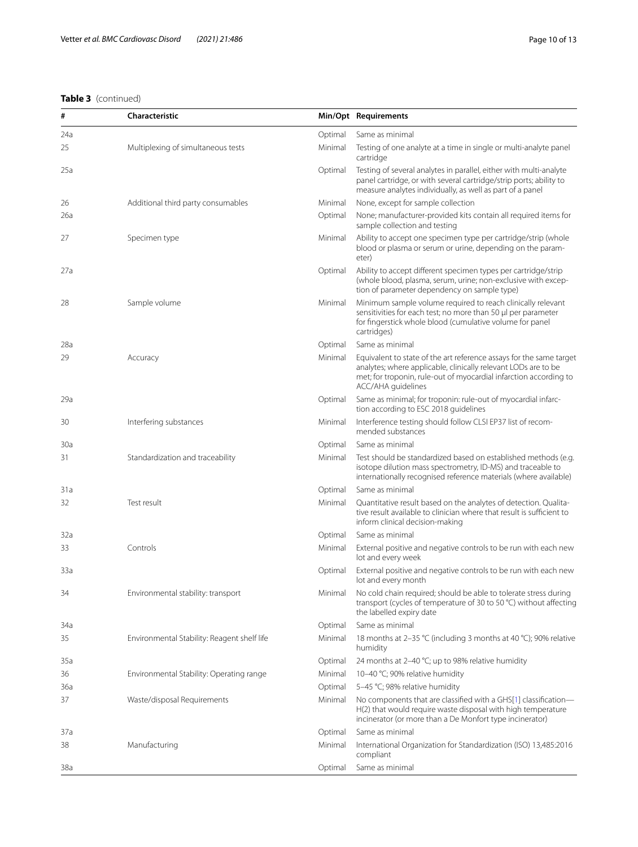# **Table 3** (continued)

| #   | Characteristic                              |         | Min/Opt Requirements                                                                                                                                                                                                             |
|-----|---------------------------------------------|---------|----------------------------------------------------------------------------------------------------------------------------------------------------------------------------------------------------------------------------------|
| 24a |                                             | Optimal | Same as minimal                                                                                                                                                                                                                  |
| 25  | Multiplexing of simultaneous tests          | Minimal | Testing of one analyte at a time in single or multi-analyte panel<br>cartridge                                                                                                                                                   |
| 25a |                                             | Optimal | Testing of several analytes in parallel, either with multi-analyte<br>panel cartridge, or with several cartridge/strip ports; ability to<br>measure analytes individually, as well as part of a panel                            |
| 26  | Additional third party consumables          | Minimal | None, except for sample collection                                                                                                                                                                                               |
| 26a |                                             | Optimal | None; manufacturer-provided kits contain all required items for<br>sample collection and testing                                                                                                                                 |
| 27  | Specimen type                               | Minimal | Ability to accept one specimen type per cartridge/strip (whole<br>blood or plasma or serum or urine, depending on the param-<br>eter)                                                                                            |
| 27a |                                             | Optimal | Ability to accept different specimen types per cartridge/strip<br>(whole blood, plasma, serum, urine; non-exclusive with excep-<br>tion of parameter dependency on sample type)                                                  |
| 28  | Sample volume                               | Minimal | Minimum sample volume required to reach clinically relevant<br>sensitivities for each test; no more than 50 µl per parameter<br>for fingerstick whole blood (cumulative volume for panel<br>cartridges)                          |
| 28a |                                             | Optimal | Same as minimal                                                                                                                                                                                                                  |
| 29  | Accuracy                                    | Minimal | Equivalent to state of the art reference assays for the same target<br>analytes; where applicable, clinically relevant LODs are to be<br>met; for troponin, rule-out of myocardial infarction according to<br>ACC/AHA guidelines |
| 29a |                                             | Optimal | Same as minimal; for troponin: rule-out of myocardial infarc-<br>tion according to ESC 2018 guidelines                                                                                                                           |
| 30  | Interfering substances                      | Minimal | Interference testing should follow CLSI EP37 list of recom-<br>mended substances                                                                                                                                                 |
| 30a |                                             | Optimal | Same as minimal                                                                                                                                                                                                                  |
| 31  | Standardization and traceability            | Minimal | Test should be standardized based on established methods (e.g.<br>isotope dilution mass spectrometry, ID-MS) and traceable to<br>internationally recognised reference materials (where available)                                |
| 31a |                                             | Optimal | Same as minimal                                                                                                                                                                                                                  |
| 32  | Test result                                 | Minimal | Quantitative result based on the analytes of detection. Qualita-<br>tive result available to clinician where that result is sufficient to<br>inform clinical decision-making                                                     |
| 32a |                                             | Optimal | Same as minimal                                                                                                                                                                                                                  |
| 33  | Controls                                    | Minimal | External positive and negative controls to be run with each new<br>lot and every week                                                                                                                                            |
| 33a |                                             | Optimal | External positive and negative controls to be run with each new<br>lot and every month                                                                                                                                           |
| 34  | Environmental stability: transport          | Minimal | No cold chain required; should be able to tolerate stress during<br>transport (cycles of temperature of 30 to 50 °C) without affecting<br>the labelled expiry date                                                               |
| 34a |                                             | Optimal | Same as minimal                                                                                                                                                                                                                  |
| 35  | Environmental Stability: Reagent shelf life | Minimal | 18 months at 2-35 °C (including 3 months at 40 °C); 90% relative<br>humidity                                                                                                                                                     |
| 35a |                                             | Optimal | 24 months at 2-40 °C; up to 98% relative humidity                                                                                                                                                                                |
| 36  | Environmental Stability: Operating range    | Minimal | 10-40 °C; 90% relative humidity                                                                                                                                                                                                  |
| 36a |                                             | Optimal | 5-45 °C; 98% relative humidity                                                                                                                                                                                                   |
| 37  | Waste/disposal Requirements                 | Minimal | No components that are classified with a GHS[1] classification-<br>H(2) that would require waste disposal with high temperature<br>incinerator (or more than a De Monfort type incinerator)                                      |
| 37a |                                             | Optimal | Same as minimal                                                                                                                                                                                                                  |
| 38  | Manufacturing                               | Minimal | International Organization for Standardization (ISO) 13,485:2016<br>compliant                                                                                                                                                    |
| 38a |                                             | Optimal | Same as minimal                                                                                                                                                                                                                  |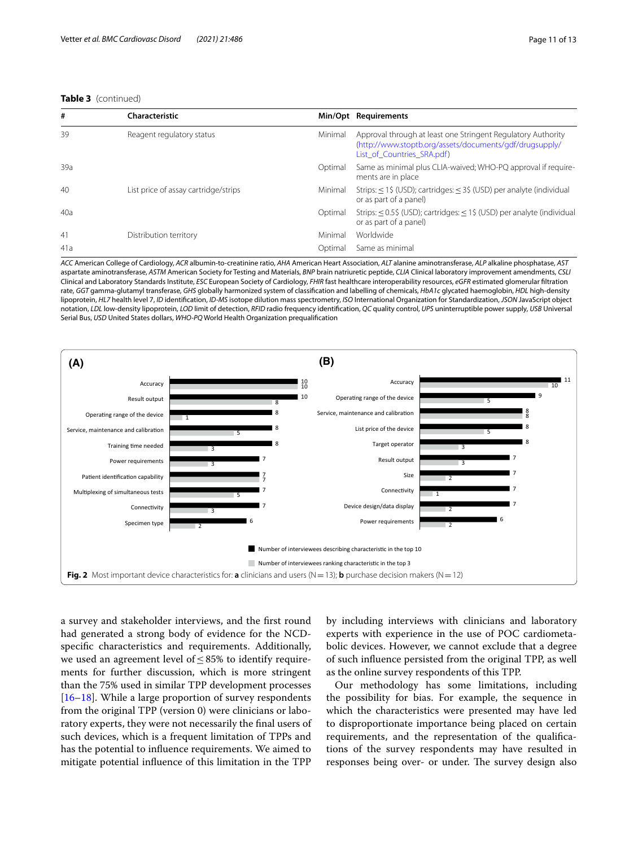#### **Table 3** (continued)

| #   | Characteristic                       |         | Min/Opt Requirements                                                                                                                                  |
|-----|--------------------------------------|---------|-------------------------------------------------------------------------------------------------------------------------------------------------------|
| 39  | Reagent regulatory status            | Minimal | Approval through at least one Stringent Regulatory Authority<br>(http://www.stoptb.org/assets/documents/gdf/drugsupply/<br>List of Countries SRA.pdf) |
| 39a |                                      | Optimal | Same as minimal plus CLIA-waived; WHO-PQ approval if require-<br>ments are in place                                                                   |
| 40  | List price of assay cartridge/strips | Minimal | Strips: $\leq$ 1\$ (USD); cartridges: $\leq$ 3\$ (USD) per analyte (individual<br>or as part of a panel)                                              |
| 40a |                                      | Optimal | Strips: $\leq$ 0.5\$ (USD); cartridges: $\leq$ 1\$ (USD) per analyte (individual<br>or as part of a panel)                                            |
| 41  | Distribution territory               | Minimal | Worldwide                                                                                                                                             |
| 41a |                                      | Optimal | Same as minimal                                                                                                                                       |

*ACC* American College of Cardiology, *ACR* albumin-to-creatinine ratio, *AHA* American Heart Association, *ALT* alanine aminotransferase, *ALP* alkaline phosphatase, *AST* aspartate aminotransferase, *ASTM* American Society for Testing and Materials, *BNP* brain natriuretic peptide, *CLIA* Clinical laboratory improvement amendments, *CSLI* Clinical and Laboratory Standards Institute, *ESC* European Society of Cardiology, *FHIR* fast healthcare interoperability resources, *eGFR* estimated glomerular fltration rate, *GGT* gamma-glutamyl transferase, *GHS* globally harmonized system of classifcation and labelling of chemicals, *HbA1c* glycated haemoglobin, *HDL* high-density lipoprotein, *HL7* health level 7, *ID* identifcation, *ID-MS* isotope dilution mass spectrometry, *ISO* International Organization for Standardization, *JSON* JavaScript object notation, *LDL* low-density lipoprotein, *LOD* limit of detection, *RFID* radio frequency identifcation, *QC* quality control, *UPS* uninterruptible power supply, *USB* Universal Serial Bus, *USD* United States dollars, *WHO-PQ* World Health Organization prequalifcation



<span id="page-10-0"></span>a survey and stakeholder interviews, and the frst round had generated a strong body of evidence for the NCDspecifc characteristics and requirements. Additionally, we used an agreement level of ≤85% to identify requirements for further discussion, which is more stringent than the 75% used in similar TPP development processes  $[16–18]$  $[16–18]$  $[16–18]$  $[16–18]$ . While a large proportion of survey respondents from the original TPP (version 0) were clinicians or laboratory experts, they were not necessarily the fnal users of such devices, which is a frequent limitation of TPPs and has the potential to infuence requirements. We aimed to mitigate potential infuence of this limitation in the TPP

by including interviews with clinicians and laboratory experts with experience in the use of POC cardiometabolic devices. However, we cannot exclude that a degree of such infuence persisted from the original TPP, as well as the online survey respondents of this TPP.

Our methodology has some limitations, including the possibility for bias. For example, the sequence in which the characteristics were presented may have led to disproportionate importance being placed on certain requirements, and the representation of the qualifcations of the survey respondents may have resulted in responses being over- or under. The survey design also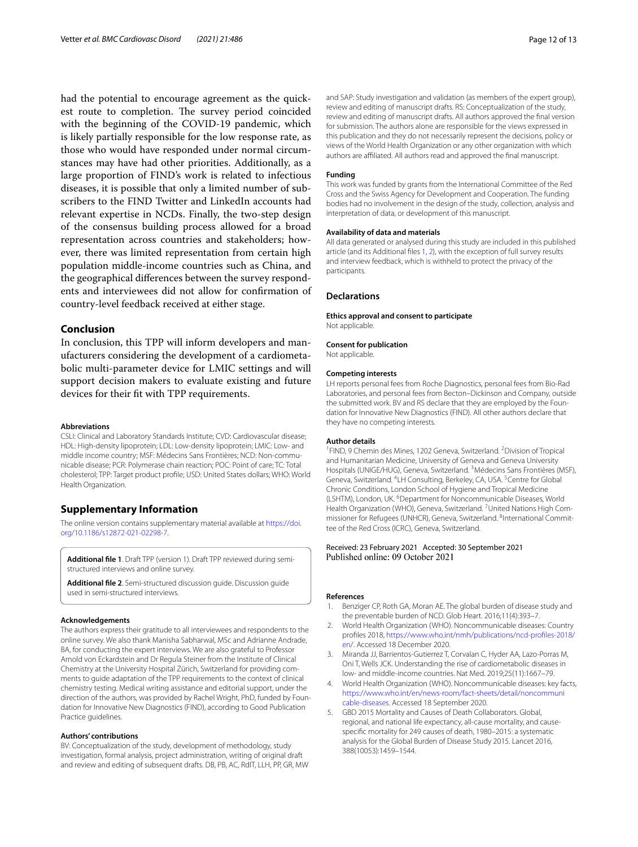had the potential to encourage agreement as the quickest route to completion. The survey period coincided with the beginning of the COVID-19 pandemic, which is likely partially responsible for the low response rate, as those who would have responded under normal circumstances may have had other priorities. Additionally, as a large proportion of FIND's work is related to infectious diseases, it is possible that only a limited number of subscribers to the FIND Twitter and LinkedIn accounts had relevant expertise in NCDs. Finally, the two-step design of the consensus building process allowed for a broad representation across countries and stakeholders; however, there was limited representation from certain high population middle-income countries such as China, and the geographical diferences between the survey respondents and interviewees did not allow for confrmation of country-level feedback received at either stage.

#### **Conclusion**

In conclusion, this TPP will inform developers and manufacturers considering the development of a cardiometabolic multi-parameter device for LMIC settings and will support decision makers to evaluate existing and future devices for their ft with TPP requirements.

#### **Abbreviations**

CSLI: Clinical and Laboratory Standards Institute; CVD: Cardiovascular disease; HDL: High-density lipoprotein; LDL: Low-density lipoprotein; LMIC: Low- and middle income country; MSF: Médecins Sans Frontières; NCD: Non-communicable disease; PCR: Polymerase chain reaction; POC: Point of care; TC: Total cholesterol; TPP: Target product profle; USD: United States dollars; WHO: World Health Organization.

#### **Supplementary Information**

The online version contains supplementary material available at [https://doi.](https://doi.org/10.1186/s12872-021-02298-7) [org/10.1186/s12872-021-02298-7](https://doi.org/10.1186/s12872-021-02298-7).

<span id="page-11-6"></span><span id="page-11-5"></span>**Additional fle 1**. Draft TPP (version 1). Draft TPP reviewed during semistructured interviews and online survey.

**Additional fle 2**. Semi-structured discussion guide. Discussion guide used in semi-structured interviews.

#### **Acknowledgements**

The authors express their gratitude to all interviewees and respondents to the online survey. We also thank Manisha Sabharwal, MSc and Adrianne Andrade, BA, for conducting the expert interviews. We are also grateful to Professor Arnold von Eckardstein and Dr Regula Steiner from the Institute of Clinical Chemistry at the University Hospital Zürich, Switzerland for providing comments to guide adaptation of the TPP requirements to the context of clinical chemistry testing. Medical writing assistance and editorial support, under the direction of the authors, was provided by Rachel Wright, PhD, funded by Foundation for Innovative New Diagnostics (FIND), according to Good Publication Practice guidelines.

#### **Authors' contributions**

BV: Conceptualization of the study, development of methodology, study investigation, formal analysis, project administration, writing of original draft and review and editing of subsequent drafts. DB, PB, AC, RdIT, LLH, PP, GR, MW and SAP: Study investigation and validation (as members of the expert group), review and editing of manuscript drafts. RS: Conceptualization of the study, review and editing of manuscript drafts. All authors approved the fnal version for submission. The authors alone are responsible for the views expressed in this publication and they do not necessarily represent the decisions, policy or views of the World Health Organization or any other organization with which authors are afliated. All authors read and approved the fnal manuscript.

#### **Funding**

This work was funded by grants from the International Committee of the Red Cross and the Swiss Agency for Development and Cooperation. The funding bodies had no involvement in the design of the study, collection, analysis and interpretation of data, or development of this manuscript.

#### **Availability of data and materials**

All data generated or analysed during this study are included in this published article (and its Additional fles [1,](#page-11-5) [2](#page-11-6)), with the exception of full survey results and interview feedback, which is withheld to protect the privacy of the participants.

#### **Declarations**

**Ethics approval and consent to participate** Not applicable.

### **Consent for publication**

Not applicable.

#### **Competing interests**

LH reports personal fees from Roche Diagnostics, personal fees from Bio-Rad Laboratories, and personal fees from Becton–Dickinson and Company, outside the submitted work. BV and RS declare that they are employed by the Foundation for Innovative New Diagnostics (FIND). All other authors declare that they have no competing interests.

#### **Author details**

<sup>1</sup> FIND, 9 Chemin des Mines, 1202 Geneva, Switzerland. <sup>2</sup> Division of Tropical and Humanitarian Medicine, University of Geneva and Geneva University Hospitals (UNIGE/HUG), Geneva, Switzerland. <sup>3</sup>Médecins Sans Frontières (MSF), Geneva, Switzerland. <sup>4</sup>LH Consulting, Berkeley, CA, USA. <sup>5</sup>Centre for Global Chronic Conditions, London School of Hygiene and Tropical Medicine (LSHTM), London, UK. <sup>6</sup> Department for Noncommunicable Diseases, World Health Organization (WHO), Geneva, Switzerland. <sup>7</sup> United Nations High Commissioner for Refugees (UNHCR), Geneva, Switzerland. <sup>8</sup>International Committee of the Red Cross (ICRC), Geneva, Switzerland.

# Received: 23 February 2021 Accepted: 30 September 2021

#### **References**

- <span id="page-11-0"></span>Benziger CP, Roth GA, Moran AE. The global burden of disease study and the preventable burden of NCD. Glob Heart. 2016;11(4):393–7.
- <span id="page-11-1"></span>2. World Health Organization (WHO). Noncommunicable diseases: Country profles 2018, [https://www.who.int/nmh/publications/ncd-profles-2018/](https://www.who.int/nmh/publications/ncd-profiles-2018/en/) [en/](https://www.who.int/nmh/publications/ncd-profiles-2018/en/). Accessed 18 December 2020.
- <span id="page-11-2"></span>3. Miranda JJ, Barrientos-Gutierrez T, Corvalan C, Hyder AA, Lazo-Porras M, Oni T, Wells JCK. Understanding the rise of cardiometabolic diseases in low- and middle-income countries. Nat Med. 2019;25(11):1667–79.
- <span id="page-11-3"></span>4. World Health Organization (WHO). Noncommunicable diseases: key facts, [https://www.who.int/en/news-room/fact-sheets/detail/noncommuni](https://www.who.int/en/news-room/fact-sheets/detail/noncommunicable-diseases) [cable-diseases](https://www.who.int/en/news-room/fact-sheets/detail/noncommunicable-diseases). Accessed 18 September 2020.
- <span id="page-11-4"></span>5. GBD 2015 Mortality and Causes of Death Collaborators. Global, regional, and national life expectancy, all-cause mortality, and causespecifc mortality for 249 causes of death, 1980–2015: a systematic analysis for the Global Burden of Disease Study 2015. Lancet 2016, 388(10053):1459–1544.